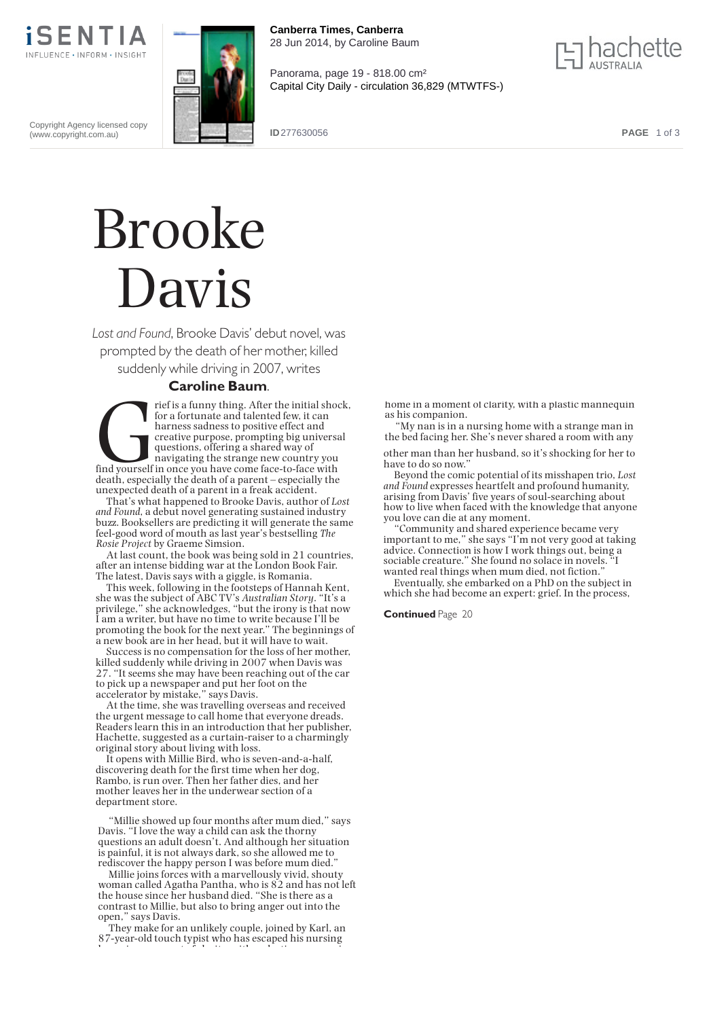

Copyright Agency licensed copy (www.copyright.com.au)





Panorama, page 19 - 818.00 cm² Capital City Daily - circulation 36,829 (MTWTFS-)

**ID** 277630056 **PAGE** 1 of 3

## Brooke Davis

*Lost and Found*, Brooke Davis' debut novel, was prompted by the death of her mother, killed suddenly while driving in 2007, writes

## **Caroline Baum**.

Fig. 1999 and the initial shock,<br>
for a fortunate and talented few, it can<br>
harness sadness to positive effect and<br>
creative purpose, prompting big universal<br>
questions, offering a shared way of<br>
more you have come face-to rief is a funny thing. After the initial shock, for a fortunate and talented few, it can harness sadness to positive effect and creative purpose, prompting big universal questions, offering a shared way of navigating the strange new country you death, especially the death of a parent – especially the unexpected death of a parent in a freak accident.

That's what happened to Brooke Davis, author of *Lost and Found*, a debut novel generating sustained industry buzz. Booksellers are predicting it will generate the same feel-good word of mouth as last year's bestselling *The Rosie Project* by Graeme Simsion.

At last count, the book was being sold in 21 countries, after an intense bidding war at the London Book Fair. The latest, Davis says with a giggle, is Romania.

This week, following in the footsteps of Hannah Kent, she was the subject of ABC TV's *Australian Story*. ''It's a privilege,'' she acknowledges, ''but the irony is that now I am a writer, but have no time to write because I'll be promoting the book for the next year.'' The beginnings of a new book are in her head, but it will have to wait.

Success is no compensation for the loss of her mother, killed suddenly while driving in 2007 when Davis was 27. ''It seems she may have been reaching out of the car to pick up a newspaper and put her foot on the accelerator by mistake,'' says Davis.

At the time, she was travelling overseas and received the urgent message to call home that everyone dreads. Readers learn this in an introduction that her publisher, Hachette, suggested as a curtain-raiser to a charmingly original story about living with loss.

It opens with Millie Bird, who is seven-and-a-half, discovering death for the first time when her dog, Rambo, is run over. Then her father dies, and her mother leaves her in the underwear section of a department store.

''Millie showed up four months after mum died,'' says Davis. ''I love the way a child can ask the thorny questions an adult doesn't. And although her situation is painful, it is not always dark, so she allowed me to rediscover the happy person I was before mum died.

Millie joins forces with a marvellously vivid, shouty woman called Agatha Pantha, who is 82 and has not left the house since her husband died. ''She is there as a contrast to Millie, but also to bring anger out into the open,'' says Davis.

They make for an unlikely couple, joined by Karl, an 87-year-old touch typist who has escaped his nursing h i t f l it it it it it it it it is a local control of the second line in the second line of the second line <br>The control of the second line in the second line of the second line in the second line of the second line in

home in a moment of clarity, with a plastic mannequin as his companion.

''My nan is in a nursing home with a strange man in the bed facing her. She's never shared a room with any

other man than her husband, so it's shocking for her to have to do so now.

Beyond the comic potential of its misshapen trio, *Lost and Found* expresses heartfelt and profound humanity, arising from Davis' five years of soul-searching about how to live when faced with the knowledge that anyone you love can die at any moment.

''Community and shared experience became very important to me,'' she says ''I'm not very good at taking advice. Connection is how I work things out, being a sociable creature.'' She found no solace in novels. ''I wanted real things when mum died, not fiction.''

Eventually, she embarked on a PhD on the subject in which she had become an expert: grief. In the process,

**Continued** Page 20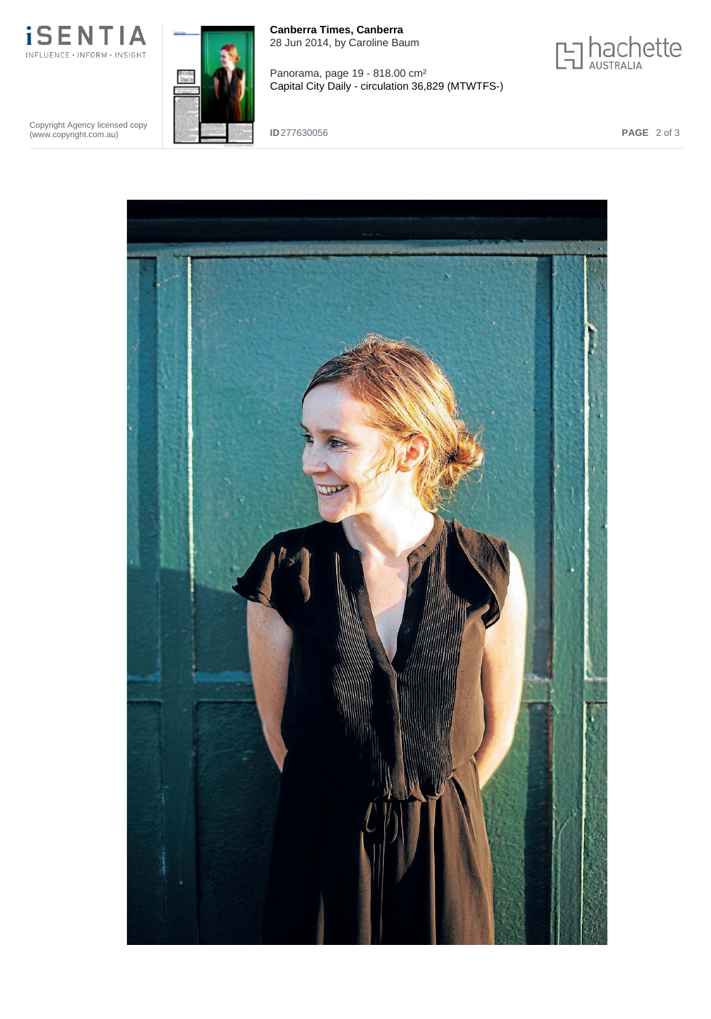

Copyright Agency licensed copy (www.copyright.com.au)

**Canberra Times, Canberra** 28 Jun 2014, by Caroline Baum

Panorama, page 19 - 818.00 cm²

Capital City Daily - circulation 36,829 (MTWTFS-)



**ID** 277630056 **PAGE** 2 of 3